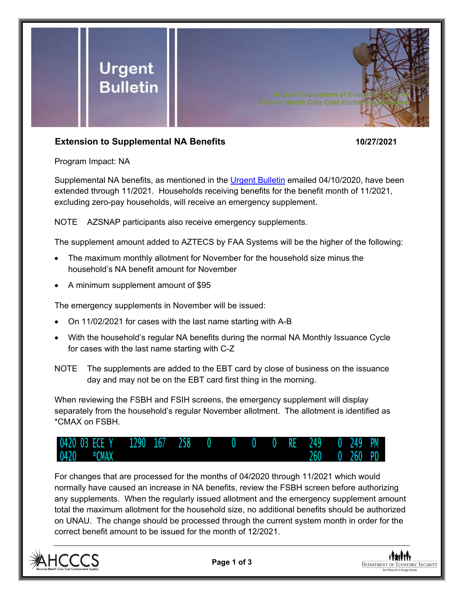

## **Extension to Supplemental NA Benefits 10/27/2021**

Program Impact: NA

Supplemental NA benefits, as mentioned in the [Urgent Bulletin](https://dbmefaapolicy.azdes.gov/FAA5/baggage/Urgent%20Bulletin%20(04-10-2020)%20-%20Supplemental%20Nutrition%20Assistance%20Benefits%20for%20Participants.pdf) emailed 04/10/2020, have been extended through 11/2021. Households receiving benefits for the benefit month of 11/2021, excluding zero-pay households, will receive an emergency supplement.

NOTE AZSNAP participants also receive emergency supplements.

The supplement amount added to AZTECS by FAA Systems will be the higher of the following:

- The maximum monthly allotment for November for the household size minus the household's NA benefit amount for November
- A minimum supplement amount of \$95

The emergency supplements in November will be issued:

- On 11/02/2021 for cases with the last name starting with A-B
- With the household's regular NA benefits during the normal NA Monthly Issuance Cycle for cases with the last name starting with C-Z
- NOTE The supplements are added to the EBT card by close of business on the issuance day and may not be on the EBT card first thing in the morning.

When reviewing the FSBH and FSIH screens, the emergency supplement will display separately from the household's regular November allotment. The allotment is identified as \*CMAX on FSBH.



For changes that are processed for the months of 04/2020 through 11/2021 which would normally have caused an increase in NA benefits, review the FSBH screen before authorizing any supplements. When the regularly issued allotment and the emergency supplement amount total the maximum allotment for the household size, no additional benefits should be authorized on UNAU. The change should be processed through the current system month in order for the correct benefit amount to be issued for the month of 12/2021.



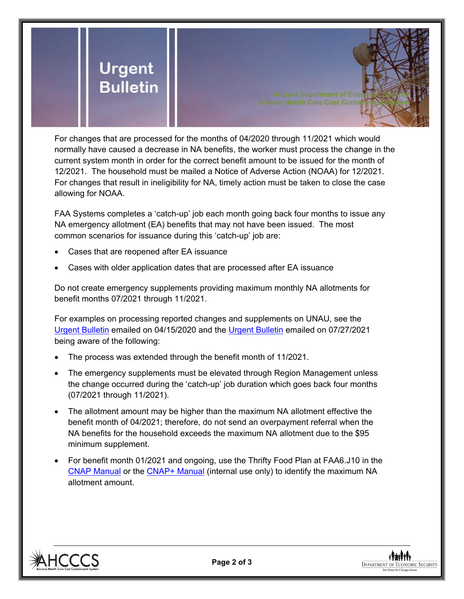

For changes that are processed for the months of 04/2020 through 11/2021 which would normally have caused a decrease in NA benefits, the worker must process the change in the current system month in order for the correct benefit amount to be issued for the month of 12/2021. The household must be mailed a Notice of Adverse Action (NOAA) for 12/2021. For changes that result in ineligibility for NA, timely action must be taken to close the case allowing for NOAA.

FAA Systems completes a 'catch-up' job each month going back four months to issue any NA emergency allotment (EA) benefits that may not have been issued. The most common scenarios for issuance during this 'catch-up' job are:

- Cases that are reopened after EA issuance
- Cases with older application dates that are processed after EA issuance

Do not create emergency supplements providing maximum monthly NA allotments for benefit months 07/2021 through 11/2021.

For examples on processing reported changes and supplements on UNAU, see the [Urgent Bulletin](https://dbmefaapolicy.azdes.gov/Archived_Policy/baggage/Urgent%20Bulletin%20(04-15-2020)%20-%20Reported%20Changes%20and%20Supplements%20on%20UNAU.pdf) emailed on 04/15/2020 and the [Urgent Bulletin](https://dbmefaapolicy.azdes.gov/Archived_Policy/baggage/Urgent%20Bulletin%20(07-27-2021)%20-%20EA%20$95%20Minimum%20Clarification.pdf) emailed on 07/27/2021 being aware of the following:

- The process was extended through the benefit month of 11/2021.
- The emergency supplements must be elevated through Region Management unless the change occurred during the 'catch-up' job duration which goes back four months (07/2021 through 11/2021).
- The allotment amount may be higher than the maximum NA allotment effective the benefit month of 04/2021; therefore, do not send an overpayment referral when the NA benefits for the household exceeds the maximum NA allotment due to the \$95 minimum supplement.
- For benefit month 01/2021 and ongoing, use the Thrifty Food Plan at FAA6.J10 in the [CNAP Manual](https://dbmefaapolicy.azdes.gov/#page/FAA6/Thrifty_Food_Plan_(NA).html) or the [CNAP+ Manual](https://cnap4staff.azdes.gov/#page/FAA6/Thrifty_Food_Plan_(NA).html) (internal use only) to identify the maximum NA allotment amount.